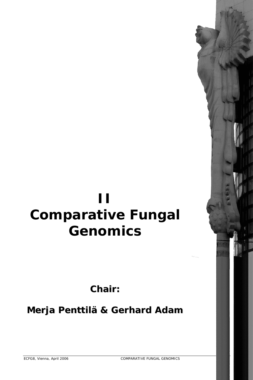# **II Comparative Fungal Genomics**

**Chair:**

**Merja Penttilä & Gerhard Adam**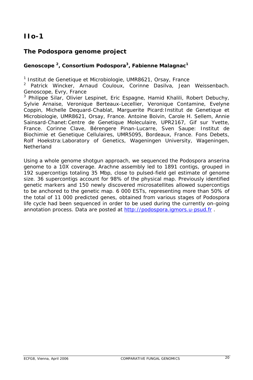# **IIo-1**

# **The** *Podospora* **genome project**

### Genoscope<sup>2</sup>, Consortium Podospora<sup>3</sup>, Fabienne Malagnac<sup>1</sup>

*1 Institut de Genetique et Microbiologie, UMR8621, Orsay, France* 

*2 Patrick Wincker, Arnaud Couloux, Corinne Dasilva, Jean Weissenbach. Genoscope, Evry, France* 

*3 Philippe Silar, Olivier Lespinet, Eric Espagne, Hamid Khalili, Robert Debuchy, Sylvie Arnaise, Veronique Berteaux-Lecellier, Veronique Contamine, Evelyne Coppin, Michelle Dequard-Chablat, Marguerite Picard:Institut de Genetique et Microbiologie, UMR8621, Orsay, France. Antoine Boivin, Carole H. Sellem, Annie Sainsard-Chanet:Centre de Genetique Moleculaire, UPR2167, Gif sur Yvette, France. Corinne Clave, Bérengere Pinan-Lucarre, Sven Saupe: Institut de Biochimie et Genetique Cellulaires, UMR5095, Bordeaux, France. Fons Debets, Rolf Hoekstra:Laboratory of Genetics, Wageningen University, Wageningen, Netherland*

Using a whole genome shotgun approach, we sequenced the *Podospora anserina* genome to a 10X coverage. Arachne assembly led to 1891 contigs, grouped in 192 supercontigs totaling 35 Mbp, close to pulsed-field gel estimate of genome size. 36 supercontigs account for 98% of the physical map. Previously identified genetic markers and 150 newly discovered microsatellites allowed supercontigs to be anchored to the genetic map. 6 000 ESTs, representing more than 50% of the total of 11 000 predicted genes, obtained from various stages of *Podospora* life cycle had been sequenced in order to be used during the currently on-going annotation process. Data are posted at http://podospora.igmors.u-psud.fr .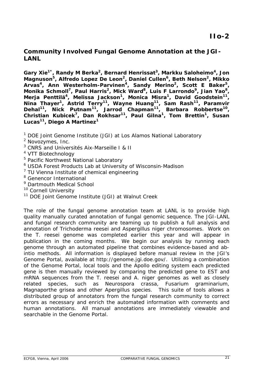## **Community Involved Fungal Genome Annotation at the JGI-LANL**

Gary Xie<sup>1\*</sup>, Randy M Berka<sup>2</sup>, Bernard Henrissat<sup>3</sup>, Markku Saloheimo<sup>4</sup>, Jon **Magnuson5, Alfredo Lopez De Leon2, Daniel Cullen6, Beth Nelson2, Mikko**  Arvas<sup>4</sup>, Ann Westerholm-Parvinen<sup>4</sup>, Sandy Merino<sup>2</sup>, Scott E Baker<sup>5</sup>, Monika Schmoll<sup>7</sup>, Paul Harris<sup>2</sup>, Mick Ward<sup>8</sup>, Luis F Larrondo<sup>9</sup>, Jian Yao<sup>8</sup>, Merja Penttilä<sup>4</sup>, Melissa Jackson<sup>1</sup>, Monica Misra<sup>1</sup>, David Goodstein<sup>11</sup>, **Nina Thayer1, Astrid Terry11, Wayne Huang11, Sam Rash11, Paramvir Dehal11, Nick Putnam11, Jarrod Chapman11, Barbara Robbertse10, Christian Kubicek7, Dan Rokhsar11, Paul Gilna1, Tom Brettin1, Susan Lucas11, Diego A Martinez1**

- <sup>1</sup> DOE Joint Genome Institute (JGI) at Los Alamos National Laboratory
- *2 Novozymes, Inc.*
- *3 CNRS and Universités Aix-Marseille I & II*
- *4 VTT Biotechnology*
- *5 Pacific Northwest National Laboratory*
- *6 USDA Forest Products Lab at University of Wisconsin-Madison*
- *7 TU Vienna Institute of chemical engineering*
- *8 Genencor International*
- *9 Dartmouth Medical School*
- 
- *<sup>10</sup> Cornell University<br><sup>11</sup> DOE Joint Genome Institute (JGI) at Walnut Creek*

The role of the fungal genome annotation team at LANL is to provide high quality manually curated annotation of fungal genomic sequence. The JGI-LANL and fungal research community are teaming up to publish a full analysis and annotation of *Trichoderma reesei* and *Aspergillus niger* chromosomes. Work on the *T. reesei* genome was completed earlier this year and will appear in publication in the coming months. We begin our analysis by running each genome through an automated pipeline that combines evidence-based and abintio methods. All information is displayed before manual review in the JGI's Genome Portal, available at http://genome.jgi.doe.gov/. Utilizing a combination of the Genome Portal, local tools and the Apollo editing system each predicted gene is then manually reviewed by comparing the predicted gene to EST and mRNA sequences from the T. reesei and A. niger genomes as well as closely related species, such as *Neurospora crassa, Fusarium graminarium, Magnaporthe grisea* and other *Apergillus* species. This suite of tools allows a distributed group of annotators from the fungal research community to correct errors as necessary and enrich the automated information with comments and human annotations. All manual annotations are immediately viewable and searchable in the Genome Portal.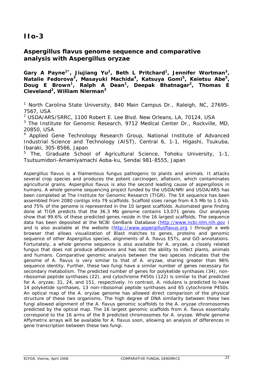# **IIo-3**

## *Aspergillus flavus* **genome sequence and comparative analysis with** *Aspergillus oryzae*

Gary A Payne<sup>1\*</sup>, Jiujiang Yu<sup>2</sup>, Beth L Pritchard<sup>1</sup>, Jennifer Wortman<sup>3</sup>, **Natalie Fedorova3, Masayuki Machida4, Katsuya Gomi5, Keietsu Abe5, Doug E Brown1, Ralph A Dean1, Deepak Bhatnagar2, Thomas E Cleveland2, William Nierman3**

*1 North Carolina State University, 840 Main Campus Dr., Raleigh, NC, 27695- 7567, USA* 

*2 USDA/ARS/SRRC, 1100 Robert E. Lee Blvd. New Orleans, LA, 70124, USA* 

*3 The Institute for Genomic Research, 9712 Medical Center Dr., Rockville, MD, 20850, USA* 

*4 Applied Gene Technology Research Group, National Institute of Advanced Industrial Science and Technology (AIST), Central 6, 1-1, Higashi, Tsukuba, Ibaraki, 305-8566, Japan* 

*5 The, Graduate School of Agricultural Science, Tohoku University, 1-1, Tsutsumidori-Amamiyamachi Aoba-ku, Sendai 981-8555, Japan* 

*Aspergillus flavus* is a filamentous fungus pathogenic to plants and animals. It attacks several crop species and produces the potent carcinogen, aflatoxin, which contaminates agricultural grains. *Aspergillus flavus* is also the second leading cause of aspergillosis in humans. A whole genome sequencing project funded by the USDA/NRI and USDA/ARS has been completed at The Institute for Genomic Research (TIGR). The 5X sequence has been assembled from 2080 contigs into 79 scaffolds. Scaffold sizes range from 4.5 Mb to 1.0 kb, and 75% of the genome is represented in the 10 largest scaffolds. Automated gene finding done at TIGR predicts that the 36.3 Mb genome contains 13,071 genes. Our analyses show that 99.6% of these predicted genes reside in the 16 largest scaffolds. The sequence data has been deposited at the NCBI GenBank Database (http://www.ncbi.nlm.nih.gov) and is also available at the website (http://www.aspergillusflavus.org ) through a web browser that allows visualization of Blast matches to genes, proteins and genomic sequence of other Aspergillus species, alignments of *A. flavus* ESTs, and GO annotations. Fortunately, a whole genome sequence is also available for *A. oryzae*, a closely related fungus that does not produce aflatoxins and has lost the ability to infect plants, animals and humans. Comparative genomic analysis between the two species indicates that the genome of *A. flavus* is very similar to that of *A. oryzae*, sharing greater than 96% sequence identity. Further, these two fungi have a similar number of genes necessary for secondary metabolism. The predicted number of genes for polyketide synthases (34), nonribosomal peptide synthases (22), and cytochrome P450s (122) is similar to that predicted for *A. oryzae*, 31, 24, and 151, respectively. In contrast, *A. nidulans* is predicted to have 14 polyketide synthases, 13 non-ribosomal peptide synthases and 65 cytochrome P450s. An optical map of the *A. oryzae* genome has allowed direct comparison of the physical structure of these two organisms. The high degree of DNA similarity between these two fungi allowed alignment of the *A. flavus* genomic scaffolds to the *A. oryzae* chromosomes predicted by the optical map. The 16 largest genomic scaffolds from *A. flavus* essentially correspond to the 16 arms of the 8 predicted chromosomes for *A. oryzae*. Whole genome Affymetrix arrays will be available for *A. flavus* soon, allowing an analysis of differences in gene transcription between these two fungi.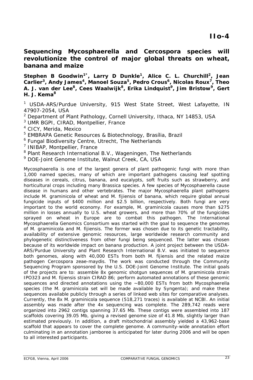**Sequencing** *Mycosphaerella* **and** *Cercospora* **species will revolutionize the control of major global threats on wheat, banana and maize** 

Stephen B Goodwin<sup>1\*</sup>, Larry D Dunkle<sup>1</sup>, Alice C. L. Churchill<sup>2</sup>, Jean Carlier<sup>3</sup>, Andy James<sup>4</sup>, Manoel Souza<sup>5</sup>, Pedro Crous<sup>6</sup>, Nicolas Roux<sup>7</sup>, Theo **A. J. van der Lee8, Cees Waalwijk8, Erika Lindquist9, Jim Bristow9, Gert H. J. Kema<sup>8</sup>**

<sup>1</sup> USDA-ARS/Purdue University, 915 West State Street, West Lafayette, IN *47907-2054, USA* 

- *2 Department of Plant Pathology, Cornell University, Ithaca, NY 14853, USA*
- *3 UMR BGPI, CIRAD, Montpellier, France*

*4 CICY, Merida, Mexico* 

*5 EMBRAPA Genetic Resources & Biotechnology, Brasília, Brazil* 

*6 Fungal Biodiversity Centre, Utrecht, The Netherlands* 

*7 INIBAP, Montpellier, France* 

*8 Plant Research International B.V., Wageningen, The Netherlands* 

*9 DOE-Joint Genome Institute, Walnut Creek, CA, USA*

*Mycosphaerella* is one of the largest genera of plant pathogenic fungi with more than 1,000 named species, many of which are important pathogens causing leaf spotting diseases in cereals, citrus, banana, and eucalypts, soft fruits such as strawberry, and horticultural crops including many *Brassica* species. A few species of *Mycosphaerella* cause disease in humans and other vertebrates. The major *Mycosphaerella* plant pathogens include *M. graminicola* of wheat and *M. fijiensis* of banana, which require global annual fungicide inputs of \$400 million and \$2.5 billion, respectively. Both fungi are very important to the world economy. For example, *M. graminicola* causes more than \$275 million in losses annually to U.S. wheat growers, and more than 70% of the fungicides sprayed on wheat in Europe are to combat this pathogen. The International Mycosphaerella Genomics Consortium was started with the goal to sequence the genomes of *M. graminicola* and *M. fijiensis*. The former was chosen due to its genetic tractability, availability of extensive genomic resources, large worldwide research community and phylogenetic distinctiveness from other fungi being sequenced. The latter was chosen because of its worldwide impact on banana production. A joint project between the USDA-ARS/Purdue University and Plant Research International B.V. was initiated to sequence both genomes, along with 40,000 ESTs from both *M. fijiensis* and the related maize pathogen *Cercospora zeae-maydis*. The work was conducted through the Community Sequencing Program sponsored by the U.S. DOE-Joint Genome Institute. The initial goals of the projects are to: assemble 8x genomic shotgun sequences of *M. graminicola* strain IPO323 and *M. fijiensis* strain CIRAD 86; perform automated annotations of these genomic sequences and directed annotations using the ~80,000 ESTs from both *Mycosphaerella* species (the *M. graminicola* set will be made available by Syngenta); and make these sequences available publicly through a series of linked web sites for comparative analyses. Currently, the 8x *M. graminicola* sequence (518,271 traces) is available at NCBI. An initial assembly was made after the 4x sequencing was complete. The 289,742 reads were organized into 2962 contigs spanning 37.65 Mb. These contigs were assembled into 187 scaffolds covering 39.05 Mb, giving a revised genome size of 41.8 Mb, slightly larger than estimated previously. In addition, a draft mitochondrial assembly yielded a 43,962-base scaffold that appears to cover the complete genome. A community-wide annotation effort culminating in an annotation jamboree is anticipated for later during 2006 and will be open to all interested participants.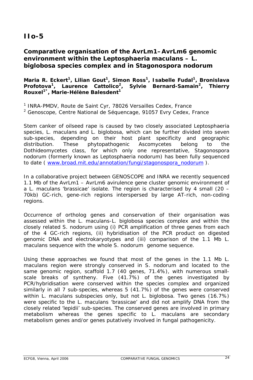# **IIo-5**

## **Comparative organisation of the** *AvrLm1–AvrLm6* **genomic environment within the** *Leptosphaeria maculans – L. biglobosa* **species complex and in** *Stagonospora nodorum*

### Maria R. Eckert<sup>1</sup>, Lilian Gout<sup>1</sup>, Simon Ross<sup>1</sup>, Isabelle Fudal<sup>1</sup>, Bronislava Profotova<sup>1</sup>, Laurence Cattolico<sup>2</sup>, Sylvie Bernard-Samain<sup>2</sup>, Thierry **Rouxel1\*, Marie-Hélène Balesdent1**

*1 INRA-PMDV, Route de Saint Cyr, 78026 Versailles Cedex, France* 

*2 Genoscope, Centre National de Séquencage, 91057 Evry Cedex, France*

Stem canker of oilseed rape is caused by two closely associated *Leptosphaeria*  species, *L. maculans* and *L. biglobosa,* which can be further divided into seven sub-species, depending on their host plant specificity and geographic distribution. These phytopathogenic Ascomycetes belong to the Dothideomycetes class, for which only one representative, *Stagonospora nodorum* (formerly known as *Leptosphaeria nodorum*) has been fully sequenced to date ( www.broad.mit.edu/annotation/fungi/stagonospora\_nodorum ).

In a collaborative project between GENOSCOPE and INRA we recently sequenced 1.1 Mb of the *AvrLm1 – AvrLm6* avirulence gene cluster genomic environment of a *L. maculans* 'brassicae' isolate. The region is characterised by 4 small (20 – 70kb) GC-rich, gene-rich regions interspersed by large AT-rich, non-coding regions.

Occurrence of ortholog genes and conservation of their organisation was assessed within the *L. maculans-L. biglobosa* species complex and within the closely related *S. nodorum* using (i) PCR amplification of three genes from each of the 4 GC-rich regions, (ii) hybridisation of the PCR product on digested genomic DNA and electrokaryotypes and (iii) comparison of the 1.1 Mb *L. maculans* sequence with the whole *S. nodorum* genome sequence.

Using these approaches we found that most of the genes in the 1.1 Mb *L. maculans* region were strongly conserved in *S. nodorum* and located to the same genomic region, scaffold 1.7 (40 genes, 71.4%), with numerous smallscale breaks of syntheny. Five (41.7%) of the genes investigated by PCR/hybridisation were conserved within the species complex and organized similarly in all 7 sub-species, whereas 5 (41.7%) of the genes were conserved within *L. maculans* subspecies only, but not *L. biglobosa*. Two genes (16.7%) were specific to the *L. maculans* 'brassicae' and did not amplify DNA from the closely related 'lepidii' sub-species. The conserved genes are involved in primary metabolism whereas the genes specific to *L. maculans* are secondary metabolism genes and/or genes putatively involved in fungal pathogenicity.